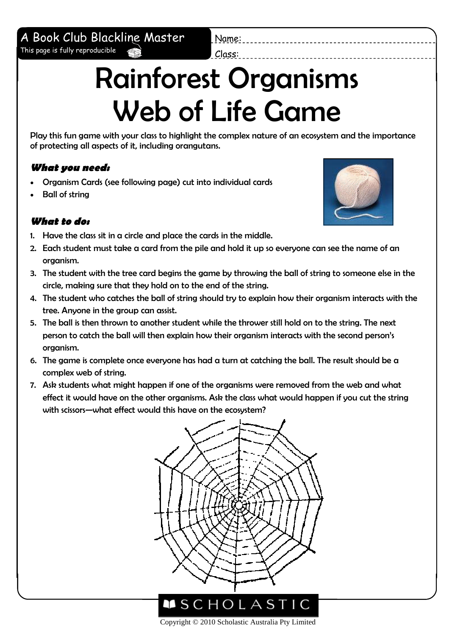### A Book Club Blackline Master This page is fully reproducible

Name: Class:

# Rainforest Organisms Web of Life Game

Play this fun game with your class to highlight the complex nature of an ecosystem and the importance of protecting all aspects of it, including orangutans.

#### **What you need:**

- Organism Cards (see following page) cut into individual cards
- Ball of string

#### **What to do:**

- 1. Have the class sit in a circle and place the cards in the middle.
- 2. Each student must take a card from the pile and hold it up so everyone can see the name of an organism.
- 3. The student with the tree card begins the game by throwing the ball of string to someone else in the circle, making sure that they hold on to the end of the string.
- 4. The student who catches the ball of string should try to explain how their organism interacts with the tree. Anyone in the group can assist.
- 5. The ball is then thrown to another student while the thrower still hold on to the string. The next person to catch the ball will then explain how their organism interacts with the second person's organism.
- 6. The game is complete once everyone has had a turn at catching the ball. The result should be a complex web of string.
- 7. Ask students what might happen if one of the organisms were removed from the web and what effect it would have on the other organisms. Ask the class what would happen if you cut the string with scissors—what effect would this have on the ecosystem?